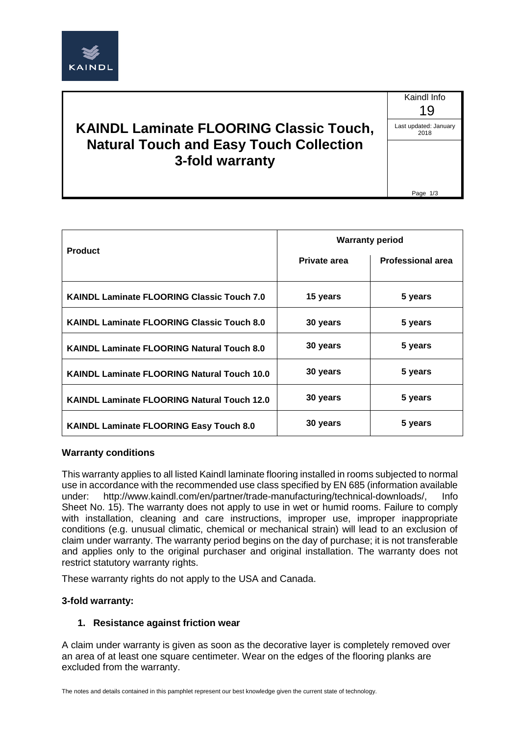

# **KAINDL Laminate FLOORING Classic Touch, Natural Touch and Easy Touch Collection 3-fold warranty**

Kaindl Info 19 Last updated: January 2018

Page 1/3

| <b>Product</b>                                     | <b>Warranty period</b> |                          |
|----------------------------------------------------|------------------------|--------------------------|
|                                                    | Private area           | <b>Professional area</b> |
| <b>KAINDL Laminate FLOORING Classic Touch 7.0</b>  | 15 years               | 5 years                  |
| <b>KAINDL Laminate FLOORING Classic Touch 8.0</b>  | 30 years               | 5 years                  |
| <b>KAINDL Laminate FLOORING Natural Touch 8.0</b>  | 30 years               | 5 years                  |
| <b>KAINDL Laminate FLOORING Natural Touch 10.0</b> | 30 years               | 5 years                  |
| <b>KAINDL Laminate FLOORING Natural Touch 12.0</b> | 30 years               | 5 years                  |
| KAINDL Laminate FLOORING Easy Touch 8.0            | 30 years               | 5 years                  |

### **Warranty conditions**

This warranty applies to all listed Kaindl laminate flooring installed in rooms subjected to normal use in accordance with the recommended use class specified by EN 685 (information available under: http://www.kaindl.com/en/partner/trade-manufacturing/technical-downloads/, Info Sheet No. 15). The warranty does not apply to use in wet or humid rooms. Failure to comply with installation, cleaning and care instructions, improper use, improper inappropriate conditions (e.g. unusual climatic, chemical or mechanical strain) will lead to an exclusion of claim under warranty. The warranty period begins on the day of purchase; it is not transferable and applies only to the original purchaser and original installation. The warranty does not restrict statutory warranty rights.

These warranty rights do not apply to the USA and Canada.

### **3-fold warranty:**

### **1. Resistance against friction wear**

A claim under warranty is given as soon as the decorative layer is completely removed over an area of at least one square centimeter. Wear on the edges of the flooring planks are excluded from the warranty.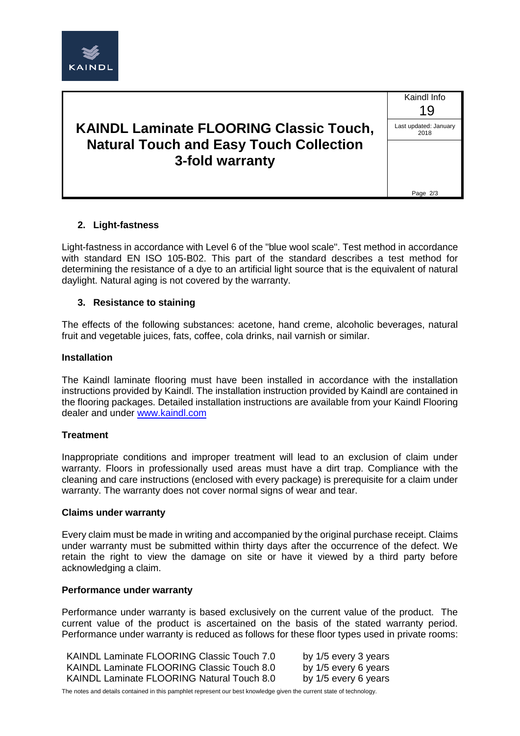

# **KAINDL Laminate FLOORING Classic Touch, Natural Touch and Easy Touch Collection 3-fold warranty**

Kaindl Info 19 Last updated: January 2018 Page 2/3

## **2. Light-fastness**

Light-fastness in accordance with Level 6 of the "blue wool scale". Test method in accordance with standard EN ISO 105-B02. This part of the standard describes a test method for determining the resistance of a dye to an artificial light source that is the equivalent of natural daylight. Natural aging is not covered by the warranty.

#### **3. Resistance to staining**

The effects of the following substances: acetone, hand creme, alcoholic beverages, natural fruit and vegetable juices, fats, coffee, cola drinks, nail varnish or similar.

#### **Installation**

The Kaindl laminate flooring must have been installed in accordance with the installation instructions provided by Kaindl. The installation instruction provided by Kaindl are contained in the flooring packages. Detailed installation instructions are available from your Kaindl Flooring dealer and under [www.kaindl.com](http://www.kaindl.com/)

#### **Treatment**

Inappropriate conditions and improper treatment will lead to an exclusion of claim under warranty. Floors in professionally used areas must have a dirt trap. Compliance with the cleaning and care instructions (enclosed with every package) is prerequisite for a claim under warranty. The warranty does not cover normal signs of wear and tear.

#### **Claims under warranty**

Every claim must be made in writing and accompanied by the original purchase receipt. Claims under warranty must be submitted within thirty days after the occurrence of the defect. We retain the right to view the damage on site or have it viewed by a third party before acknowledging a claim.

#### **Performance under warranty**

Performance under warranty is based exclusively on the current value of the product. The current value of the product is ascertained on the basis of the stated warranty period. Performance under warranty is reduced as follows for these floor types used in private rooms:

| KAINDL Laminate FLOORING Classic Touch 7.0 | by 1/5 every 3 years |
|--------------------------------------------|----------------------|
| KAINDL Laminate FLOORING Classic Touch 8.0 | by 1/5 every 6 years |
| KAINDL Laminate FLOORING Natural Touch 8.0 | by 1/5 every 6 years |

The notes and details contained in this pamphlet represent our best knowledge given the current state of technology.